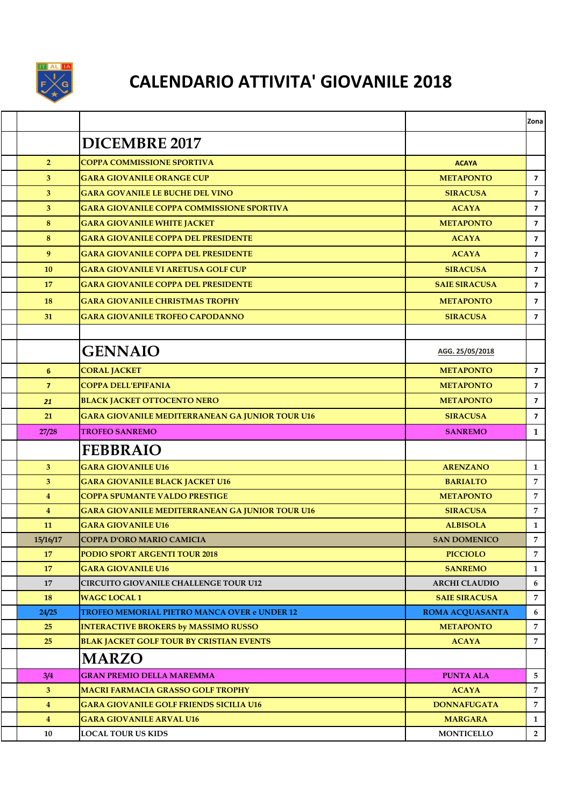

## **CALENDARIO ATTIVITA' GIOVANILE 2018**

|                |                                                        |                        | Zona                    |
|----------------|--------------------------------------------------------|------------------------|-------------------------|
|                | <b>DICEMBRE 2017</b>                                   |                        |                         |
| 2 <sup>1</sup> | <b>COPPA COMMISSIONE SPORTIVA</b>                      | <b>ACAYA</b>           |                         |
| $\mathbf{3}$   | <b>GARA GIOVANILE ORANGE CUP</b>                       | <b>METAPONTO</b>       | $\overline{7}$          |
| $\mathbf{3}$   | <b>GARA GOVANILE LE BUCHE DEL VINO</b>                 | <b>SIRACUSA</b>        | $\overline{7}$          |
| $\mathbf{3}$   | <b>GARA GIOVANILE COPPA COMMISSIONE SPORTIVA</b>       | <b>ACAYA</b>           | $\overline{7}$          |
| 8              | <b>GARA GIOVANILE WHITE JACKET</b>                     | <b>METAPONTO</b>       | $\overline{7}$          |
| 8              | <b>GARA GIOVANILE COPPA DEL PRESIDENTE</b>             | <b>ACAYA</b>           | $\overline{\mathbf{z}}$ |
| 9              | <b>GARA GIOVANILE COPPA DEL PRESIDENTE</b>             | <b>ACAYA</b>           | $\overline{7}$          |
| 10             | <b>GARA GIOVANILE VI ARETUSA GOLF CUP</b>              | <b>SIRACUSA</b>        | $\overline{7}$          |
| 17             | <b>GARA GIOVANILE COPPA DEL PRESIDENTE</b>             | <b>SAIE SIRACUSA</b>   | $\overline{\mathbf{z}}$ |
| <b>18</b>      | <b>GARA GIOVANILE CHRISTMAS TROPHY</b>                 | <b>METAPONTO</b>       | $\overline{\mathbf{z}}$ |
| 31             | <b>GARA GIOVANILE TROFEO CAPODANNO</b>                 | <b>SIRACUSA</b>        | $\overline{7}$          |
|                |                                                        |                        |                         |
|                | <b>GENNAIO</b>                                         | AGG. 25/05/2018        |                         |
| 6              | <b>CORAL JACKET</b>                                    | <b>METAPONTO</b>       | $\overline{\mathbf{z}}$ |
| $\overline{7}$ | <b>COPPA DELL'EPIFANIA</b>                             | <b>METAPONTO</b>       | $\overline{\mathbf{z}}$ |
| 21             | <b>BLACK JACKET OTTOCENTO NERO</b>                     | <b>METAPONTO</b>       | $\overline{\mathbf{z}}$ |
| 21             | GARA GIOVANILE MEDITERRANEAN GA JUNIOR TOUR U16        | <b>SIRACUSA</b>        | $\overline{\mathbf{z}}$ |
|                |                                                        |                        |                         |
| 27/28          | <b>TROFEO SANREMO</b>                                  | <b>SANREMO</b>         | $\mathbf{1}$            |
|                | <b>FEBBRAIO</b>                                        |                        |                         |
| 3 <sup>5</sup> | <b>GARA GIOVANILE U16</b>                              | <b>ARENZANO</b>        | $\mathbf{1}$            |
| 3 <sup>5</sup> | <b>GARA GIOVANILE BLACK JACKET U16</b>                 | <b>BARIALTO</b>        | $\overline{7}$          |
| $\overline{4}$ | <b>COPPA SPUMANTE VALDO PRESTIGE</b>                   | <b>METAPONTO</b>       | $\overline{7}$          |
| $\overline{4}$ | <b>GARA GIOVANILE MEDITERRANEAN GA JUNIOR TOUR U16</b> | <b>SIRACUSA</b>        | $\overline{7}$          |
| 11             | <b>GARA GIOVANILE U16</b>                              | <b>ALBISOLA</b>        | $\mathbf{1}$            |
| 15/16/17       | COPPA D'ORO MARIO CAMICIA                              | <b>SAN DOMENICO</b>    | $\overline{7}$          |
| 17             | PODIO SPORT ARGENTI TOUR 2018                          | <b>PICCIOLO</b>        | $\overline{7}$          |
| 17             | <b>GARA GIOVANILE U16</b>                              | <b>SANREMO</b>         | $\mathbf{1}$            |
| 17             | <b>CIRCUITO GIOVANILE CHALLENGE TOUR U12</b>           | <b>ARCHI CLAUDIO</b>   | 6                       |
| 18             | <b>WAGC LOCAL 1</b>                                    | <b>SAIE SIRACUSA</b>   | 7                       |
| 24/25          | TROFEO MEMORIAL PIETRO MANCA OVER e UNDER 12           | <b>ROMA ACOUASANTA</b> | 6                       |
| 25             | <b>INTERACTIVE BROKERS by MASSIMO RUSSO</b>            | <b>METAPONTO</b>       | $\overline{7}$          |
| 25             | <b>BLAK JACKET GOLF TOUR BY CRISTIAN EVENTS</b>        | <b>ACAYA</b>           | $\overline{7}$          |
|                | <b>MARZO</b>                                           |                        |                         |
| 3/4            | <b>GRAN PREMIO DELLA MAREMMA</b>                       | <b>PUNTA ALA</b>       | $5\phantom{.0}$         |
| 3 <sup>2</sup> | <b>MACRI FARMACIA GRASSO GOLF TROPHY</b>               | <b>ACAYA</b>           | $\overline{7}$          |
| $\overline{4}$ | <b>GARA GIOVANILE GOLF FRIENDS SICILIA U16</b>         | <b>DONNAFUGATA</b>     | $\overline{7}$          |
| $\overline{4}$ | <b>GARA GIOVANILE ARVAL U16</b>                        | <b>MARGARA</b>         | $\mathbf{1}$            |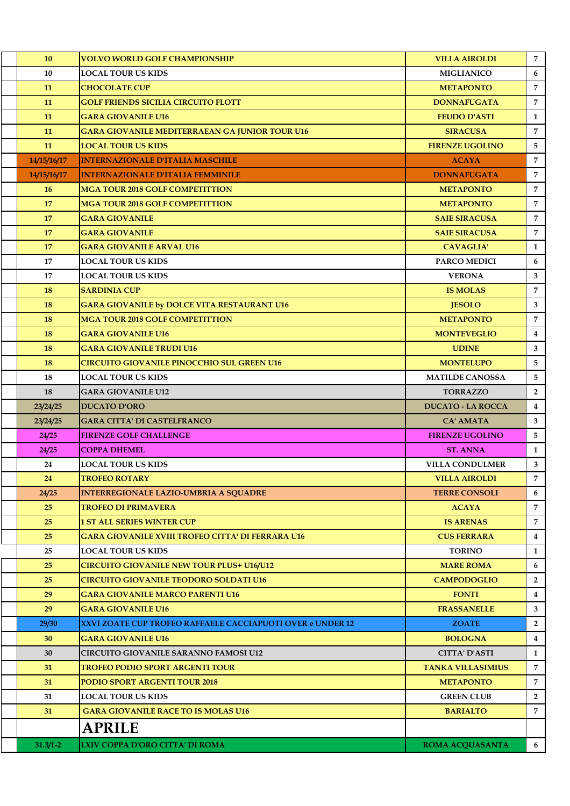| 10           | <b>VOLVO WORLD GOLF CHAMPIONSHIP</b>                       | <b>VILLA AIROLDI</b>     | $\overline{7}$          |
|--------------|------------------------------------------------------------|--------------------------|-------------------------|
| 10           | LOCAL TOUR US KIDS                                         | <b>MIGLIANICO</b>        | 6                       |
| 11           | <b>CHOCOLATE CUP</b>                                       | <b>METAPONTO</b>         | $\overline{7}$          |
| 11           | <b>GOLF FRIENDS SICILIA CIRCUITO FLOTT</b>                 | <b>DONNAFUGATA</b>       | $\overline{7}$          |
| 11           | <b>GARA GIOVANILE U16</b>                                  | <b>FEUDO D'ASTI</b>      | $\mathbf{1}$            |
| 11           | <b>GARA GIOVANILE MEDITERRAEAN GA JUNIOR TOUR U16</b>      | <b>SIRACUSA</b>          | $\overline{7}$          |
| 11           | <b>LOCAL TOUR US KIDS</b>                                  | <b>FIRENZE UGOLINO</b>   | 5                       |
| 14/15/16/17  | <b>INTERNAZIONALE D'ITALIA MASCHILE</b>                    | <b>ACAYA</b>             | 7                       |
| 14/15/16/17  | <b>INTERNAZIONALE D'ITALIA FEMMINILE</b>                   | <b>DONNAFUGATA</b>       | 7                       |
| 16           | <b>MGA TOUR 2018 GOLF COMPETITTION</b>                     | <b>METAPONTO</b>         | $\overline{7}$          |
| 17           | <b>MGA TOUR 2018 GOLF COMPETITTION</b>                     | <b>METAPONTO</b>         | $\overline{7}$          |
| 17           | <b>GARA GIOVANILE</b>                                      | <b>SAIE SIRACUSA</b>     | $\overline{7}$          |
| 17           | <b>GARA GIOVANILE</b>                                      | <b>SAIE SIRACUSA</b>     | $\overline{7}$          |
| 17           | <b>GARA GIOVANILE ARVAL U16</b>                            | <b>CAVAGLIA'</b>         | $\mathbf{1}$            |
| 17           | <b>LOCAL TOUR US KIDS</b>                                  | <b>PARCO MEDICI</b>      | 6                       |
| 17           | <b>LOCAL TOUR US KIDS</b>                                  | <b>VERONA</b>            | $\mathbf{3}$            |
| 18           | <b>SARDINIA CUP</b>                                        | <b>IS MOLAS</b>          | $\overline{7}$          |
| 18           | <b>GARA GIOVANILE by DOLCE VITA RESTAURANT U16</b>         | <b>JESOLO</b>            | 3                       |
| 18           | <b>MGA TOUR 2018 GOLF COMPETITTION</b>                     | <b>METAPONTO</b>         | $\overline{7}$          |
| 18           | <b>GARA GIOVANILE U16</b>                                  | <b>MONTEVEGLIO</b>       | $\overline{4}$          |
| 18           | <b>GARA GIOVANILE TRUDI U16</b>                            | <b>UDINE</b>             | 3                       |
| 18           | <b>CIRCUITO GIOVANILE PINOCCHIO SUL GREEN U16</b>          | <b>MONTELUPO</b>         | 5                       |
| 18           | <b>LOCAL TOUR US KIDS</b>                                  | <b>MATILDE CANOSSA</b>   | 5                       |
| 18           | <b>GARA GIOVANILE U12</b>                                  | <b>TORRAZZO</b>          | $\overline{2}$          |
| 23/24/25     | <b>DUCATO D'ORO</b>                                        | <b>DUCATO - LA ROCCA</b> | $\overline{4}$          |
| 23/24/25     | <b>GARA CITTA' DI CASTELFRANCO</b>                         | <b>CA' AMATA</b>         | 3                       |
| 24/25        | <b>FIRENZE GOLF CHALLENGE</b>                              | <b>FIRENZE UGOLINO</b>   | 5                       |
| 24/25        | <b>COPPA DHEMEL</b>                                        | <b>ST. ANNA</b>          | 1                       |
| 24           | <b>LOCAL TOUR US KIDS</b>                                  | <b>VILLA CONDULMER</b>   | 3                       |
| 24           | <b>TROFEO ROTARY</b>                                       | <b>VILLA AIROLDI</b>     | 7                       |
| 24/25        | <b>INTERREGIONALE LAZIO-UMBRIA A SQUADRE</b>               | <b>TERRE CONSOLI</b>     | 6                       |
| 25           | <b>TROFEO DI PRIMAVERA</b>                                 | <b>ACAYA</b>             | 7                       |
| 25           | <b>1 ST ALL SERIES WINTER CUP</b>                          | <b>IS ARENAS</b>         | $\overline{7}$          |
| 25           | GARA GIOVANILE XVIII TROFEO CITTA' DI FERRARA U16          | <b>CUS FERRARA</b>       | $\overline{\mathbf{4}}$ |
| 25           | <b>LOCAL TOUR US KIDS</b>                                  | <b>TORINO</b>            | $\mathbf{1}$            |
| 25           | <b>CIRCUITO GIOVANILE NEW TOUR PLUS+ U16/U12</b>           | <b>MARE ROMA</b>         | 6                       |
| 25           | <b>CIRCUITO GIOVANILE TEODORO SOLDATI U16</b>              | <b>CAMPODOGLIO</b>       | $\overline{2}$          |
| 29           | <b>GARA GIOVANILE MARCO PARENTI U16</b>                    | <b>FONTI</b>             | $\overline{4}$          |
| 29           | <b>GARA GIOVANILE U16</b>                                  | <b>FRASSANELLE</b>       | $\mathbf{3}$            |
| 29/30        | XXVI ZOATE CUP TROFEO RAFFAELE CACCIAPUOTI OVER e UNDER 12 | <b>ZOATE</b>             | $\overline{2}$          |
| 30           | <b>GARA GIOVANILE U16</b>                                  | <b>BOLOGNA</b>           | $\overline{4}$          |
| 30           | <b>CIRCUITO GIOVANILE SARANNO FAMOSI U12</b>               | <b>CITTA' D'ASTI</b>     | $\mathbf{1}$            |
| 31           | <b>TROFEO PODIO SPORT ARGENTI TOUR</b>                     | <b>TANKA VILLASIMIUS</b> | $\overline{7}$          |
| 31           | PODIO SPORT ARGENTI TOUR 2018                              | <b>METAPONTO</b>         | $\overline{7}$          |
| 31           | <b>LOCAL TOUR US KIDS</b>                                  | <b>GREEN CLUB</b>        | $\overline{2}$          |
| 31           | <b>GARA GIOVANILE RACE TO IS MOLAS U16</b>                 | <b>BARIALTO</b>          | $\overline{7}$          |
|              | <b>APRILE</b>                                              |                          |                         |
| $31.3/1 - 2$ | LXIV COPPA D'ORO CITTA' DI ROMA                            | <b>ROMA ACQUASANTA</b>   | 6                       |
|              |                                                            |                          |                         |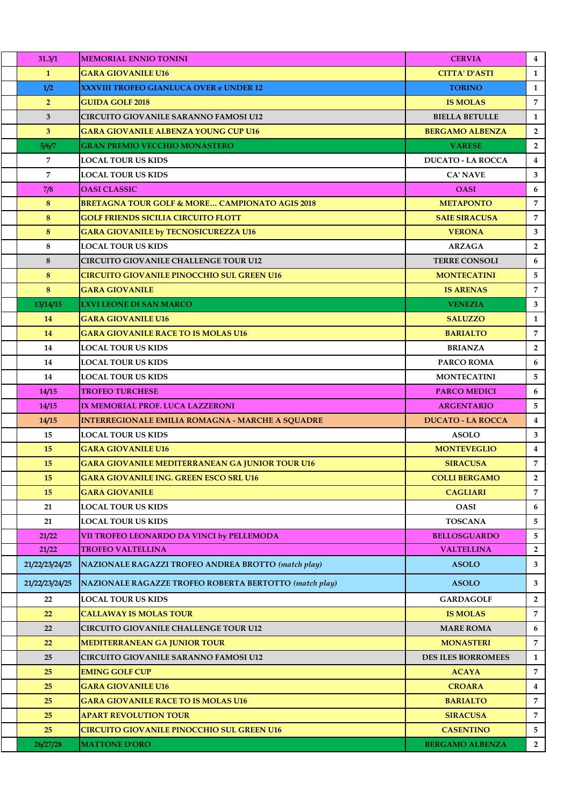| 31.3/1         | <b>MEMORIAL ENNIO TONINI</b>                                  | <b>CERVIA</b>             | $\overline{4}$ |
|----------------|---------------------------------------------------------------|---------------------------|----------------|
| $\mathbf{1}$   | <b>GARA GIOVANILE U16</b>                                     | <b>CITTA' D'ASTI</b>      | 1              |
| 1/2            | <b>XXXVIII TROFEO GIANLUCA OVER e UNDER 12</b>                | <b>TORINO</b>             | $\mathbf{1}$   |
| 2 <sup>1</sup> | <b>GUIDA GOLF 2018</b>                                        | <b>IS MOLAS</b>           | $\overline{7}$ |
| 3              | <b>CIRCUITO GIOVANILE SARANNO FAMOSI U12</b>                  | <b>BIELLA BETULLE</b>     | $\mathbf{1}$   |
| 3              | <b>GARA GIOVANILE ALBENZA YOUNG CUP U16</b>                   | <b>BERGAMO ALBENZA</b>    | $\overline{2}$ |
| 5/6/7          | <b>GRAN PREMIO VECCHIO MONASTERO</b>                          | <b>VARESE</b>             | $\overline{2}$ |
| 7              | <b>LOCAL TOUR US KIDS</b>                                     | <b>DUCATO - LA ROCCA</b>  | $\overline{4}$ |
| $\overline{7}$ | <b>LOCAL TOUR US KIDS</b>                                     | <b>CA' NAVE</b>           | 3              |
| 7/8            | <b>OASI CLASSIC</b>                                           | <b>OASI</b>               | 6              |
| 8              | <b>BRETAGNA TOUR GOLF &amp; MORE CAMPIONATO AGIS 2018</b>     | <b>METAPONTO</b>          | $\overline{7}$ |
| 8              | <b>GOLF FRIENDS SICILIA CIRCUITO FLOTT</b>                    | <b>SAIE SIRACUSA</b>      | 7              |
| 8              | <b>GARA GIOVANILE by TECNOSICUREZZA U16</b>                   | <b>VERONA</b>             | $\mathbf{3}$   |
| 8              | <b>LOCAL TOUR US KIDS</b>                                     | <b>ARZAGA</b>             | $\overline{2}$ |
| 8              | <b>CIRCUITO GIOVANILE CHALLENGE TOUR U12</b>                  | <b>TERRE CONSOLI</b>      | 6              |
| 8              | <b>CIRCUITO GIOVANILE PINOCCHIO SUL GREEN U16</b>             | <b>MONTECATINI</b>        | 5              |
| 8              | <b>GARA GIOVANILE</b>                                         | <b>IS ARENAS</b>          | $\overline{7}$ |
| 13/14/15       | <b>LXVI LEONE DI SAN MARCO</b>                                | <b>VENEZIA</b>            | 3              |
| 14             | <b>GARA GIOVANILE U16</b>                                     | <b>SALUZZO</b>            | 1              |
| 14             | <b>GARA GIOVANILE RACE TO IS MOLAS U16</b>                    | <b>BARIALTO</b>           | 7              |
| 14             | <b>LOCAL TOUR US KIDS</b>                                     | <b>BRIANZA</b>            | $\overline{2}$ |
| 14             | <b>LOCAL TOUR US KIDS</b>                                     | <b>PARCO ROMA</b>         | 6              |
| 14             | <b>LOCAL TOUR US KIDS</b>                                     | <b>MONTECATINI</b>        | 5              |
| 14/15          | <b>TROFEO TURCHESE</b>                                        | <b>PARCO MEDICI</b>       | 6              |
| 14/15          | IX MEMORIAL PROF. LUCA LAZZERONI                              | <b>ARGENTARIO</b>         | 5.             |
| 14/15          | <b>INTERREGIONALE EMILIA ROMAGNA - MARCHE A SQUADRE</b>       | <b>DUCATO - LA ROCCA</b>  | $\overline{4}$ |
| 15             | <b>LOCAL TOUR US KIDS</b>                                     | <b>ASOLO</b>              | 3              |
| 15             | <b>GARA GIOVANILE U16</b>                                     | <b>MONTEVEGLIO</b>        | $\overline{4}$ |
| 15             | <b>GARA GIOVANILE MEDITERRANEAN GA JUNIOR TOUR U16</b>        | <b>SIRACUSA</b>           | 7              |
| 15             | <b>GARA GIOVANILE ING. GREEN ESCO SRL U16</b>                 | <b>COLLI BERGAMO</b>      | $\overline{2}$ |
| 15             | <b>GARA GIOVANILE</b>                                         | <b>CAGLIARI</b>           | $\overline{7}$ |
| 21             | <b>LOCAL TOUR US KIDS</b>                                     | <b>OASI</b>               | 6              |
| 21             | <b>LOCAL TOUR US KIDS</b>                                     | <b>TOSCANA</b>            | 5              |
| 21/22          | VII TROFEO LEONARDO DA VINCI by PELLEMODA                     | <b>BELLOSGUARDO</b>       | 5              |
| 21/22          | <b>TROFEO VALTELLINA</b>                                      | <b>VALTELLINA</b>         | $\overline{2}$ |
| 21/22/23/24/25 | <b>NAZIONALE RAGAZZI TROFEO ANDREA BROTTO (match play)</b>    | <b>ASOLO</b>              | $\mathbf{3}$   |
| 21/22/23/24/25 | <b>NAZIONALE RAGAZZE TROFEO ROBERTA BERTOTTO (match play)</b> | <b>ASOLO</b>              | 3              |
| 22             | <b>LOCAL TOUR US KIDS</b>                                     | <b>GARDAGOLF</b>          | $\overline{2}$ |
| 22             | <b>CALLAWAY IS MOLAS TOUR</b>                                 | <b>IS MOLAS</b>           | $\overline{7}$ |
| 22             | <b>CIRCUITO GIOVANILE CHALLENGE TOUR U12</b>                  | <b>MARE ROMA</b>          | 6              |
| 22             | <b>MEDITERRANEAN GA JUNIOR TOUR</b>                           | <b>MONASTERI</b>          | $\overline{7}$ |
| 25             | <b>CIRCUITO GIOVANILE SARANNO FAMOSI U12</b>                  | <b>DES ILES BORROMEES</b> | 1              |
| 25             | <b>EMING GOLF CUP</b>                                         | <b>ACAYA</b>              | $\overline{7}$ |
| 25             | <b>GARA GIOVANILE U16</b>                                     | <b>CROARA</b>             | $\overline{4}$ |
| 25             | <b>GARA GIOVANILE RACE TO IS MOLAS U16</b>                    | <b>BARIALTO</b>           | $\overline{7}$ |
| 25             | <b>APART REVOLUTION TOUR</b>                                  | <b>SIRACUSA</b>           | $\overline{7}$ |
| 25             | <b>CIRCUITO GIOVANILE PINOCCHIO SUL GREEN U16</b>             | <b>CASENTINO</b>          | 5              |
| 26/27/28       | <b>MATTONE D'ORO</b>                                          | <b>BERGAMO ALBENZA</b>    | $\overline{2}$ |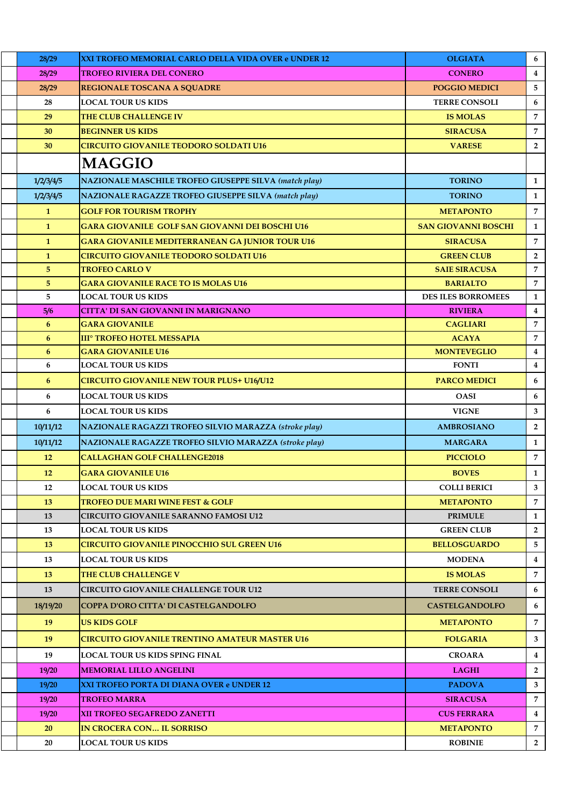| 28/29        | <b>XXI TROFEO MEMORIAL CARLO DELLA VIDA OVER e UNDER 12</b>  | <b>OLGIATA</b>             | 6              |
|--------------|--------------------------------------------------------------|----------------------------|----------------|
| 28/29        | TROFEO RIVIERA DEL CONERO                                    | <b>CONERO</b>              | $\bf{4}$       |
| 28/29        | <b>REGIONALE TOSCANA A SQUADRE</b>                           | <b>POGGIO MEDICI</b>       | 5              |
| 28           | <b>LOCAL TOUR US KIDS</b>                                    | <b>TERRE CONSOLI</b>       | 6              |
| 29           | <b>THE CLUB CHALLENGE IV</b>                                 | <b>IS MOLAS</b>            | 7              |
| 30           | <b>BEGINNER US KIDS</b>                                      | <b>SIRACUSA</b>            | 7              |
| 30           | <b>CIRCUITO GIOVANILE TEODORO SOLDATI U16</b>                | <b>VARESE</b>              | $\overline{2}$ |
|              | <b>MAGGIO</b>                                                |                            |                |
| 1/2/3/4/5    | NAZIONALE MASCHILE TROFEO GIUSEPPE SILVA (match play)        | <b>TORINO</b>              | $\mathbf{1}$   |
| 1/2/3/4/5    | <b>NAZIONALE RAGAZZE TROFEO GIUSEPPE SILVA (match play)</b>  | <b>TORINO</b>              | $\mathbf{1}$   |
| $\mathbf{1}$ | <b>GOLF FOR TOURISM TROPHY</b>                               | <b>METAPONTO</b>           | $\overline{7}$ |
| $\mathbf{1}$ | <b>GARA GIOVANILE GOLF SAN GIOVANNI DEI BOSCHI U16</b>       | <b>SAN GIOVANNI BOSCHI</b> | $\mathbf{1}$   |
| $\mathbf{1}$ | <b>GARA GIOVANILE MEDITERRANEAN GA JUNIOR TOUR U16</b>       | <b>SIRACUSA</b>            | 7              |
| $\mathbf{1}$ | <b>CIRCUITO GIOVANILE TEODORO SOLDATI U16</b>                | <b>GREEN CLUB</b>          | $\overline{2}$ |
| 5            | <b>TROFEO CARLO V</b>                                        | <b>SAIE SIRACUSA</b>       | 7              |
| $\sqrt{5}$   | <b>GARA GIOVANILE RACE TO IS MOLAS U16</b>                   | <b>BARIALTO</b>            | 7              |
| 5            | <b>LOCAL TOUR US KIDS</b>                                    | <b>DES ILES BORROMEES</b>  | $\mathbf{1}$   |
| 5/6          | <b>CITTA' DI SAN GIOVANNI IN MARIGNANO</b>                   | <b>RIVIERA</b>             | $\bf{4}$       |
| 6            | <b>GARA GIOVANILE</b>                                        | <b>CAGLIARI</b>            | 7              |
| 6            | <b>III<sup>°</sup> TROFEO HOTEL MESSAPIA</b>                 | <b>ACAYA</b>               | $\overline{7}$ |
| 6            | <b>GARA GIOVANILE U16</b>                                    | <b>MONTEVEGLIO</b>         | $\bf{4}$       |
| 6            | <b>LOCAL TOUR US KIDS</b>                                    | <b>FONTI</b>               | $\bf{4}$       |
| 6            | <b>CIRCUITO GIOVANILE NEW TOUR PLUS+ U16/U12</b>             | <b>PARCO MEDICI</b>        | 6              |
| 6            | <b>LOCAL TOUR US KIDS</b>                                    | <b>OASI</b>                | 6              |
| 6            | <b>LOCAL TOUR US KIDS</b>                                    | <b>VIGNE</b>               | 3              |
| 10/11/12     | <b>NAZIONALE RAGAZZI TROFEO SILVIO MARAZZA (stroke play)</b> | <b>AMBROSIANO</b>          | $\overline{2}$ |
| 10/11/12     | NAZIONALE RAGAZZE TROFEO SILVIO MARAZZA (stroke play)        | <b>MARGARA</b>             | $\mathbf{1}$   |
| 12           | <b>CALLAGHAN GOLF CHALLENGE2018</b>                          | <b>PICCIOLO</b>            | 7              |
| 12           | <b>GARA GIOVANILE U16</b>                                    | <b>BOVES</b>               | $\mathbf{1}$   |
| 12           | <b>LOCAL TOUR US KIDS</b>                                    | <b>COLLI BERICI</b>        | 3              |
| 13           | <b>TROFEO DUE MARI WINE FEST &amp; GOLF</b>                  | <b>METAPONTO</b>           | 7              |
| 13           | <b>CIRCUITO GIOVANILE SARANNO FAMOSI U12</b>                 | <b>PRIMULE</b>             | 1              |
| 13           | LOCAL TOUR US KIDS                                           | <b>GREEN CLUB</b>          | $\overline{2}$ |
| 13           | <b>CIRCUITO GIOVANILE PINOCCHIO SUL GREEN U16</b>            | <b>BELLOSGUARDO</b>        | 5              |
| 13           | <b>LOCAL TOUR US KIDS</b>                                    | <b>MODENA</b>              | 4              |
| 13           | <b>THE CLUB CHALLENGE V</b>                                  | <b>IS MOLAS</b>            | 7              |
| 13           | <b>CIRCUITO GIOVANILE CHALLENGE TOUR U12</b>                 | <b>TERRE CONSOLI</b>       | 6              |
| 18/19/20     | COPPA D'ORO CITTA' DI CASTELGANDOLFO                         | <b>CASTELGANDOLFO</b>      | 6              |
| 19           | <b>US KIDS GOLF</b>                                          | <b>METAPONTO</b>           | 7              |
| 19           | <b>CIRCUITO GIOVANILE TRENTINO AMATEUR MASTER U16</b>        | <b>FOLGARIA</b>            | 3              |
| 19           | LOCAL TOUR US KIDS SPING FINAL                               | <b>CROARA</b>              | $\overline{4}$ |
| 19/20        | <b>MEMORIAL LILLO ANGELINI</b>                               | <b>LAGHI</b>               | $\overline{2}$ |
| 19/20        | XXI TROFEO PORTA DI DIANA OVER e UNDER 12                    | <b>PADOVA</b>              | 3              |
| 19/20        | <b>TROFEO MARRA</b>                                          | <b>SIRACUSA</b>            | 7              |
| 19/20        | <b>XII TROFEO SEGAFREDO ZANETTI</b>                          | <b>CUS FERRARA</b>         | $\overline{4}$ |
| 20           | <b>IN CROCERA CON IL SORRISO</b>                             | <b>METAPONTO</b>           | 7              |
| 20           | <b>LOCAL TOUR US KIDS</b>                                    | <b>ROBINIE</b>             | $\mathbf{2}$   |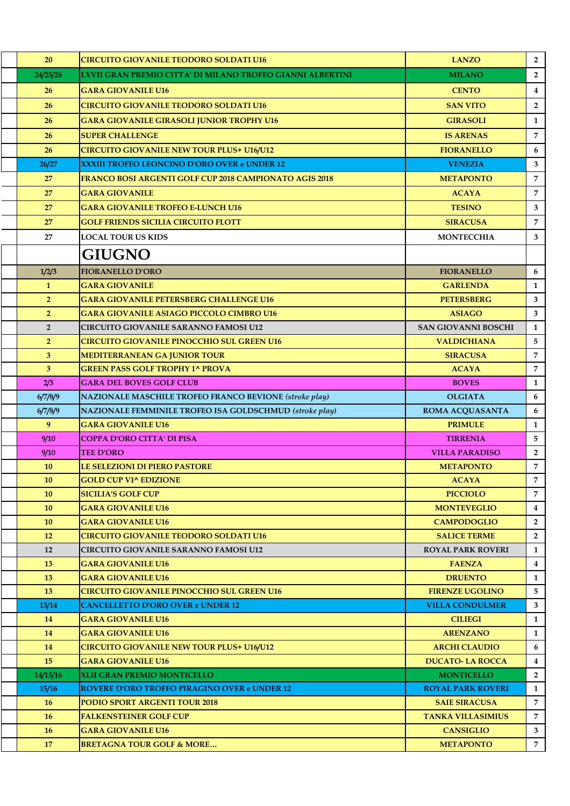| 20                 | <b>CIRCUITO GIOVANILE TEODORO SOLDATI U16</b>                                  | <b>LANZO</b>                                     | $2^{\circ}$       |
|--------------------|--------------------------------------------------------------------------------|--------------------------------------------------|-------------------|
| 24/25/26           | LXVII GRAN PREMIO CITTA' DI MILANO TROFEO GIANNI ALBERTINI                     | <b>MILANO</b>                                    | $\overline{2}$    |
| 26                 | <b>GARA GIOVANILE U16</b>                                                      | <b>CENTO</b>                                     | $\overline{4}$    |
| 26                 | <b>CIRCUITO GIOVANILE TEODORO SOLDATI U16</b>                                  | <b>SAN VITO</b>                                  | $\overline{2}$    |
| 26                 | <b>GARA GIOVANILE GIRASOLI JUNIOR TROPHY U16</b>                               | <b>GIRASOLI</b>                                  | $\mathbf{1}$      |
| 26                 | <b>SUPER CHALLENGE</b>                                                         | <b>IS ARENAS</b>                                 | $\overline{7}$    |
| 26                 | <b>CIRCUITO GIOVANILE NEW TOUR PLUS+ U16/U12</b>                               | <b>FIORANELLO</b>                                | 6                 |
| 26/27              | <b>XXXIII TROFEO LEONCINO D'ORO OVER e UNDER 12</b>                            | <b>VENEZIA</b>                                   | 3                 |
| 27                 | FRANCO BOSI ARGENTI GOLF CUP 2018 CAMPIONATO AGIS 2018                         | <b>METAPONTO</b>                                 | $\overline{7}$    |
| 27                 | <b>GARA GIOVANILE</b>                                                          | <b>ACAYA</b>                                     | $\overline{7}$    |
| 27                 | <b>GARA GIOVANILE TROFEO E-LUNCH U16</b>                                       | <b>TESINO</b>                                    | 3                 |
| 27                 | <b>GOLF FRIENDS SICILIA CIRCUITO FLOTT</b>                                     | <b>SIRACUSA</b>                                  | $\overline{7}$    |
| 27                 | LOCAL TOUR US KIDS                                                             | <b>MONTECCHIA</b>                                | 3                 |
|                    | <b>GIUGNO</b>                                                                  |                                                  |                   |
| 1/2/3              | <b>FIORANELLO D'ORO</b>                                                        | <b>FIORANELLO</b>                                | 6                 |
| $\mathbf{1}$       | <b>GARA GIOVANILE</b>                                                          | <b>GARLENDA</b>                                  | $\mathbf{1}$      |
| 2 <sup>1</sup>     | <b>GARA GIOVANILE PETERSBERG CHALLENGE U16</b>                                 | <b>PETERSBERG</b>                                | 3                 |
| 2 <sup>1</sup>     | <b>GARA GIOVANILE ASIAGO PICCOLO CIMBRO U16</b>                                | <b>ASIAGO</b>                                    | $\mathbf{3}$      |
| $\overline{2}$     | <b>CIRCUITO GIOVANILE SARANNO FAMOSI U12</b>                                   | <b>SAN GIOVANNI BOSCHI</b>                       | $\mathbf{1}$      |
| 2 <sup>1</sup>     | <b>CIRCUITO GIOVANILE PINOCCHIO SUL GREEN U16</b>                              | <b>VALDICHIANA</b>                               | 5                 |
| 3                  | <b>MEDITERRANEAN GA JUNIOR TOUR</b>                                            | <b>SIRACUSA</b>                                  | $\overline{7}$    |
| 3 <sup>5</sup>     | <b>GREEN PASS GOLF TROPHY 1^ PROVA</b>                                         | <b>ACAYA</b>                                     | $\overline{7}$    |
| 2/3                | <b>GARA DEL BOVES GOLF CLUB</b>                                                | <b>BOVES</b>                                     | $\mathbf{1}$      |
| 6/7/8/9            | <b>NAZIONALE MASCHILE TROFEO FRANCO BEVIONE (stroke play)</b>                  | <b>OLGIATA</b>                                   | 6                 |
| 6/7/8/9            | NAZIONALE FEMMINILE TROFEO ISA GOLDSCHMUD (stroke play)                        | ROMA ACQUASANTA                                  | 6                 |
| 9                  | <b>GARA GIOVANILE U16</b>                                                      | <b>PRIMULE</b>                                   | $\mathbf{1}$      |
| 9/10               | <b>COPPA D'ORO CITTA' DI PISA</b>                                              | <b>TIRRENIA</b>                                  | 5                 |
| 9/10               | <b>TEE D'ORO</b>                                                               | <b>VILLA PARADISO</b>                            | $\overline{2}$    |
| 10                 | <b>LE SELEZIONI DI PIERO PASTORE</b>                                           | <b>METAPONTO</b>                                 | $\overline{7}$    |
| 10                 | <b>GOLD CUP VI^ EDIZIONE</b>                                                   | <b>ACAYA</b>                                     | $\overline{7}$    |
| 10                 | SICILIA'S GOLF CUP                                                             | <b>PICCIOLO</b>                                  | $\overline{7}$    |
| 10                 | <b>GARA GIOVANILE U16</b>                                                      | <b>MONTEVEGLIO</b>                               | $\overline{4}$    |
| 10                 | <b>GARA GIOVANILE U16</b>                                                      | <b>CAMPODOGLIO</b>                               | $\overline{2}$    |
| 12                 | <b>CIRCUITO GIOVANILE TEODORO SOLDATI U16</b>                                  | <b>SALICE TERME</b>                              | $\mathbf{2}$      |
| 12                 | CIRCUITO GIOVANILE SARANNO FAMOSI U12                                          | <b>ROYAL PARK ROVERI</b>                         | $\mathbf{1}$      |
| 13                 | <b>GARA GIOVANILE U16</b>                                                      | <b>FAENZA</b>                                    | $\overline{4}$    |
| 13                 | <b>GARA GIOVANILE U16</b><br><b>CIRCUITO GIOVANILE PINOCCHIO SUL GREEN U16</b> | <b>DRUENTO</b>                                   | $\mathbf{1}$<br>5 |
| <b>13</b><br>13/14 | <b>CANCELLETTO D'ORO OVER e UNDER 12</b>                                       | <b>FIRENZE UGOLINO</b><br><b>VILLA CONDULMER</b> | 3                 |
| 14                 | <b>GARA GIOVANILE U16</b>                                                      | <b>CILIEGI</b>                                   | $\mathbf{1}$      |
| 14                 | <b>GARA GIOVANILE U16</b>                                                      | <b>ARENZANO</b>                                  | $\mathbf{1}$      |
| 14                 | <b>CIRCUITO GIOVANILE NEW TOUR PLUS+ U16/U12</b>                               | <b>ARCHI CLAUDIO</b>                             | 6                 |
| 15                 | <b>GARA GIOVANILE U16</b>                                                      | <b>DUCATO-LA ROCCA</b>                           | $\overline{4}$    |
| 14/15/16           | XLII GRAN PREMIO MONTICELLO                                                    | <b>MONTICELLO</b>                                | $\overline{2}$    |
| 15/16              | <b>ROVERE D'ORO TROFEO PIRAGINO OVER e UNDER 12</b>                            | <b>ROYAL PARK ROVERI</b>                         | $\mathbf{1}$      |
| <b>16</b>          | PODIO SPORT ARGENTI TOUR 2018                                                  | <b>SAIE SIRACUSA</b>                             | $\overline{7}$    |
| <b>16</b>          | <b>FALKENSTEINER GOLF CUP</b>                                                  | <b>TANKA VILLASIMIUS</b>                         | 7                 |
| <b>16</b>          | <b>GARA GIOVANILE U16</b>                                                      | <b>CANSIGLIO</b>                                 | $3^{\circ}$       |
| 17                 | <b>BRETAGNA TOUR GOLF &amp; MORE</b>                                           | <b>METAPONTO</b>                                 | $7^{\circ}$       |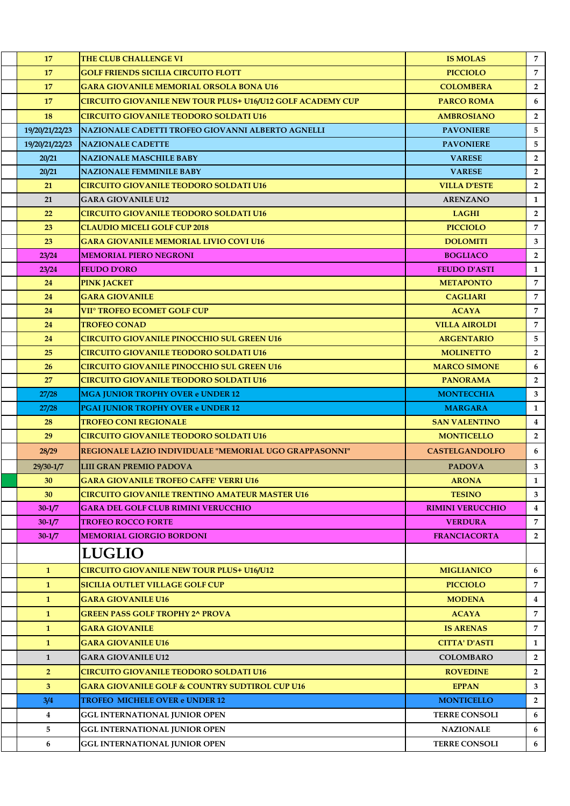| 17                      | <b>THE CLUB CHALLENGE VI</b>                                                 | <b>IS MOLAS</b>                          | $7^{\circ}$    |
|-------------------------|------------------------------------------------------------------------------|------------------------------------------|----------------|
| 17                      | <b>GOLF FRIENDS SICILIA CIRCUITO FLOTT</b>                                   | <b>PICCIOLO</b>                          | $\overline{7}$ |
| 17                      | <b>GARA GIOVANILE MEMORIAL ORSOLA BONA U16</b>                               | <b>COLOMBERA</b>                         | $\overline{2}$ |
| 17                      | <b>CIRCUITO GIOVANILE NEW TOUR PLUS+ U16/U12 GOLF ACADEMY CUP</b>            | <b>PARCO ROMA</b>                        | 6              |
| 18                      | <b>CIRCUITO GIOVANILE TEODORO SOLDATI U16</b>                                | <b>AMBROSIANO</b>                        | $\overline{2}$ |
| 19/20/21/22/23          | NAZIONALE CADETTI TROFEO GIOVANNI ALBERTO AGNELLI                            | <b>PAVONIERE</b>                         | 5              |
| 19/20/21/22/23          | <b>NAZIONALE CADETTE</b>                                                     | <b>PAVONIERE</b>                         | 5              |
| 20/21                   | <b>NAZIONALE MASCHILE BABY</b>                                               | <b>VARESE</b>                            | $\overline{2}$ |
| 20/21                   | <b>NAZIONALE FEMMINILE BABY</b>                                              | <b>VARESE</b>                            | $\overline{2}$ |
| 21                      | <b>CIRCUITO GIOVANILE TEODORO SOLDATI U16</b>                                | <b>VILLA D'ESTE</b>                      | $\overline{2}$ |
| 21                      | <b>GARA GIOVANILE U12</b>                                                    | <b>ARENZANO</b>                          | $\mathbf{1}$   |
| 22                      | CIRCUITO GIOVANILE TEODORO SOLDATI U16                                       | <b>LAGHI</b>                             | $\overline{2}$ |
| 23                      | <b>CLAUDIO MICELI GOLF CUP 2018</b>                                          | <b>PICCIOLO</b>                          | 7              |
| 23                      | GARA GIOVANILE MEMORIAL LIVIO COVI U16                                       | <b>DOLOMITI</b>                          | 3              |
| 23/24                   | <b>MEMORIAL PIERO NEGRONI</b>                                                | <b>BOGLIACO</b>                          | $\overline{2}$ |
| 23/24                   | <b>FEUDO D'ORO</b>                                                           | <b>FEUDO D'ASTI</b>                      | $\mathbf{1}$   |
| 24                      | <b>PINK JACKET</b>                                                           | <b>METAPONTO</b>                         | 7              |
| 24                      | <b>GARA GIOVANILE</b>                                                        | <b>CAGLIARI</b>                          | $\overline{7}$ |
| 24                      | VII° TROFEO ECOMET GOLF CUP                                                  | <b>ACAYA</b>                             | $\overline{7}$ |
| 24                      | <b>TROFEO CONAD</b>                                                          | <b>VILLA AIROLDI</b>                     | $\overline{7}$ |
| 24                      | CIRCUITO GIOVANILE PINOCCHIO SUL GREEN U16                                   | <b>ARGENTARIO</b>                        | 5              |
| 25                      | <b>CIRCUITO GIOVANILE TEODORO SOLDATI U16</b>                                | <b>MOLINETTO</b>                         | $\overline{2}$ |
| 26                      | CIRCUITO GIOVANILE PINOCCHIO SUL GREEN U16                                   | <b>MARCO SIMONE</b>                      | 6              |
| 27                      | CIRCUITO GIOVANILE TEODORO SOLDATI U16                                       | <b>PANORAMA</b>                          | $\overline{2}$ |
| 27/28                   | <b>MGA JUNIOR TROPHY OVER e UNDER 12</b>                                     | <b>MONTECCHIA</b>                        | $\mathbf{3}$   |
|                         |                                                                              |                                          |                |
| 27/28                   | <b>PGAI JUNIOR TROPHY OVER e UNDER 12</b>                                    | <b>MARGARA</b>                           | $\mathbf{1}$   |
| 28                      | <b>TROFEO CONI REGIONALE</b>                                                 | <b>SAN VALENTINO</b>                     | $\overline{4}$ |
| 29                      | CIRCUITO GIOVANILE TEODORO SOLDATI U16                                       | <b>MONTICELLO</b>                        | $\overline{2}$ |
| 28/29                   | REGIONALE LAZIO INDIVIDUALE "MEMORIAL UGO GRAPPASONNI"                       | <b>CASTELGANDOLFO</b>                    | 6              |
| $29/30 - 1/7$           | LIII GRAN PREMIO PADOVA                                                      | <b>PADOVA</b>                            | $\mathbf{3}$   |
| 30                      | <b>GARA GIOVANILE TROFEO CAFFE' VERRI U16</b>                                | <b>ARONA</b>                             | $\mathbf{1}$   |
| 30                      | CIRCUITO GIOVANILE TRENTINO AMATEUR MASTER U16                               | <b>TESINO</b>                            | $3^{\circ}$    |
| $30 - 1/7$              | <b>GARA DEL GOLF CLUB RIMINI VERUCCHIO</b>                                   | <b>RIMINI VERUCCHIO</b>                  | $\overline{4}$ |
| $30 - 1/7$              | <b>TROFEO ROCCO FORTE</b>                                                    | <b>VERDURA</b>                           | $\overline{7}$ |
| $30 - 1/7$              | <b>MEMORIAL GIORGIO BORDONI</b>                                              | <b>FRANCIACORTA</b>                      | $2^{\circ}$    |
|                         | <b>LUGLIO</b>                                                                |                                          |                |
| $\mathbf{1}$            | <b>CIRCUITO GIOVANILE NEW TOUR PLUS+ U16/U12</b>                             | <b>MIGLIANICO</b>                        | 6              |
| $\mathbf{1}$            | <b>SICILIA OUTLET VILLAGE GOLF CUP</b>                                       | <b>PICCIOLO</b>                          | $\overline{7}$ |
| $\mathbf{1}$            | <b>GARA GIOVANILE U16</b>                                                    | <b>MODENA</b>                            | $\overline{4}$ |
| $\mathbf{1}$            | <b>GREEN PASS GOLF TROPHY 2^ PROVA</b>                                       | <b>ACAYA</b>                             | $\overline{7}$ |
| $\mathbf{1}$            | <b>GARA GIOVANILE</b>                                                        | <b>IS ARENAS</b>                         | $\overline{7}$ |
| $\mathbf{1}$            | <b>GARA GIOVANILE U16</b>                                                    | <b>CITTA' D'ASTI</b>                     | $\mathbf{1}$   |
| $\mathbf{1}$            | <b>GARA GIOVANILE U12</b>                                                    | <b>COLOMBARO</b>                         | $\overline{2}$ |
| 2 <sup>1</sup>          |                                                                              | <b>ROVEDINE</b>                          | $\overline{2}$ |
|                         | <b>CIRCUITO GIOVANILE TEODORO SOLDATI U16</b>                                |                                          |                |
| 3 <sup>1</sup>          | <b>GARA GIOVANILE GOLF &amp; COUNTRY SUDTIROL CUP U16</b>                    | <b>EPPAN</b>                             | 3              |
| 3/4                     | <b>TROFEO MICHELE OVER e UNDER 12</b>                                        | <b>MONTICELLO</b>                        | $\overline{2}$ |
| $\overline{\mathbf{4}}$ | <b>GGL INTERNATIONAL JUNIOR OPEN</b>                                         | <b>TERRE CONSOLI</b>                     | 6              |
| 5<br>6                  | <b>GGL INTERNATIONAL JUNIOR OPEN</b><br><b>GGL INTERNATIONAL JUNIOR OPEN</b> | <b>NAZIONALE</b><br><b>TERRE CONSOLI</b> | 6<br>6         |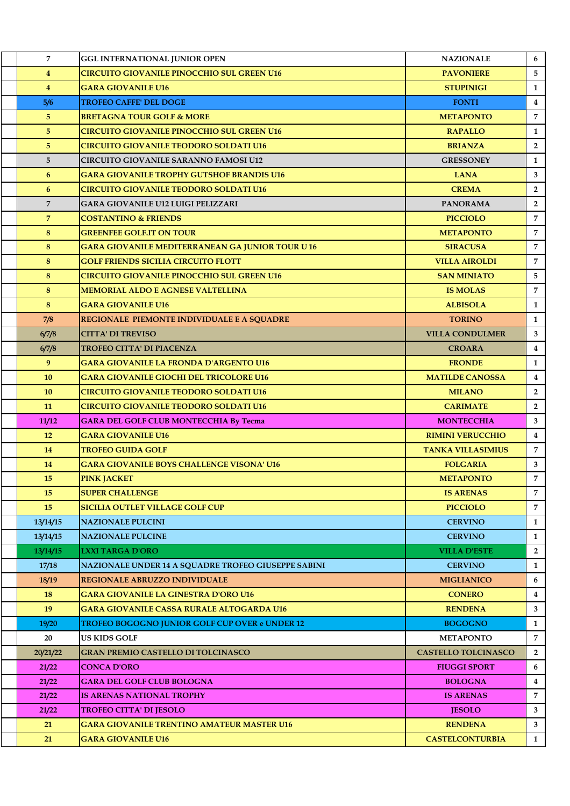| $\overline{7}$ | <b>GGL INTERNATIONAL JUNIOR OPEN</b>                    | <b>NAZIONALE</b>           | 6              |
|----------------|---------------------------------------------------------|----------------------------|----------------|
| $\overline{4}$ | <b>CIRCUITO GIOVANILE PINOCCHIO SUL GREEN U16</b>       | <b>PAVONIERE</b>           | 5              |
| $\overline{4}$ | <b>GARA GIOVANILE U16</b>                               | <b>STUPINIGI</b>           | 1              |
| 5/6            | <b>TROFEO CAFFE' DEL DOGE</b>                           | <b>FONTI</b>               | $\overline{4}$ |
| 5 <sup>1</sup> | <b>BRETAGNA TOUR GOLF &amp; MORE</b>                    | <b>METAPONTO</b>           | $\overline{7}$ |
| 5              | <b>CIRCUITO GIOVANILE PINOCCHIO SUL GREEN U16</b>       | <b>RAPALLO</b>             | 1              |
| 5 <sub>5</sub> | <b>CIRCUITO GIOVANILE TEODORO SOLDATI U16</b>           | <b>BRIANZA</b>             | $\overline{2}$ |
| 5 <sup>5</sup> | <b>CIRCUITO GIOVANILE SARANNO FAMOSI U12</b>            | <b>GRESSONEY</b>           | $\mathbf{1}$   |
| 6              | <b>GARA GIOVANILE TROPHY GUTSHOF BRANDIS U16</b>        | <b>LANA</b>                | 3              |
| 6              | <b>CIRCUITO GIOVANILE TEODORO SOLDATI U16</b>           | <b>CREMA</b>               | $\overline{2}$ |
| $\overline{7}$ | <b>GARA GIOVANILE U12 LUIGI PELIZZARI</b>               | <b>PANORAMA</b>            | $\overline{2}$ |
| $\overline{7}$ | <b>COSTANTINO &amp; FRIENDS</b>                         | <b>PICCIOLO</b>            | 7              |
| 8              | <b>GREENFEE GOLF.IT ON TOUR</b>                         | <b>METAPONTO</b>           | $\overline{7}$ |
| 8              | <b>GARA GIOVANILE MEDITERRANEAN GA JUNIOR TOUR U 16</b> | <b>SIRACUSA</b>            | $\overline{7}$ |
| 8              | <b>GOLF FRIENDS SICILIA CIRCUITO FLOTT</b>              | <b>VILLA AIROLDI</b>       | $\overline{7}$ |
| 8              | <b>CIRCUITO GIOVANILE PINOCCHIO SUL GREEN U16</b>       | <b>SAN MINIATO</b>         | 5              |
| 8              | <b>MEMORIAL ALDO E AGNESE VALTELLINA</b>                | <b>IS MOLAS</b>            | $\overline{7}$ |
| 8              | <b>GARA GIOVANILE U16</b>                               | <b>ALBISOLA</b>            | 1              |
| 7/8            | REGIONALE PIEMONTE INDIVIDUALE E A SQUADRE              | <b>TORINO</b>              | $\mathbf{1}$   |
| 6/7/8          | <b>CITTA' DI TREVISO</b>                                | <b>VILLA CONDULMER</b>     | 3              |
| 6/7/8          | TROFEO CITTA' DI PIACENZA                               | <b>CROARA</b>              | $\overline{4}$ |
| 9 <sup>°</sup> | <b>GARA GIOVANILE LA FRONDA D'ARGENTO U16</b>           | <b>FRONDE</b>              | $\mathbf{1}$   |
| 10             | <b>GARA GIOVANILE GIOCHI DEL TRICOLORE U16</b>          | <b>MATILDE CANOSSA</b>     | $\overline{4}$ |
| 10             | CIRCUITO GIOVANILE TEODORO SOLDATI U16                  | <b>MILANO</b>              | $\overline{2}$ |
| 11             | CIRCUITO GIOVANILE TEODORO SOLDATI U16                  | <b>CARIMATE</b>            | $\overline{2}$ |
| 11/12          | <b>GARA DEL GOLF CLUB MONTECCHIA By Tecma</b>           | <b>MONTECCHIA</b>          | $\mathbf{3}$   |
| 12             | <b>GARA GIOVANILE U16</b>                               | <b>RIMINI VERUCCHIO</b>    | $\overline{4}$ |
| 14             | <b>TROFEO GUIDA GOLF</b>                                | <b>TANKA VILLASIMIUS</b>   | $7^{\circ}$    |
| 14             | <b>GARA GIOVANILE BOYS CHALLENGE VISONA' U16</b>        | <b>FOLGARIA</b>            | $\mathbf{3}$   |
| 15             | <b>PINK JACKET</b>                                      | <b>METAPONTO</b>           | $\overline{7}$ |
| 15             | <b>SUPER CHALLENGE</b>                                  | <b>IS ARENAS</b>           | 7              |
| 15             | <b>SICILIA OUTLET VILLAGE GOLF CUP</b>                  | <b>PICCIOLO</b>            | 7              |
| 13/14/15       | <b>NAZIONALE PULCINI</b>                                | <b>CERVINO</b>             | 1              |
| 13/14/15       | <b>NAZIONALE PULCINE</b>                                | <b>CERVINO</b>             | $\mathbf{1}$   |
| 13/14/15       | <b>LXXI TARGA D'ORO</b>                                 | <b>VILLA D'ESTE</b>        | $\overline{2}$ |
| 17/18          | NAZIONALE UNDER 14 A SQUADRE TROFEO GIUSEPPE SABINI     | <b>CERVINO</b>             | 1              |
| 18/19          | <b>REGIONALE ABRUZZO INDIVIDUALE</b>                    | <b>MIGLIANICO</b>          | 6              |
| 18             | GARA GIOVANILE LA GINESTRA D'ORO U16                    | <b>CONERO</b>              | $\overline{4}$ |
| 19             | <b>GARA GIOVANILE CASSA RURALE ALTOGARDA U16</b>        | <b>RENDENA</b>             | 3              |
| 19/20          | <b>TROFEO BOGOGNO JUNIOR GOLF CUP OVER e UNDER 12</b>   | <b>BOGOGNO</b>             | 1              |
| 20             | <b>US KIDS GOLF</b>                                     | <b>METAPONTO</b>           | 7              |
| 20/21/22       | <b>GRAN PREMIO CASTELLO DI TOLCINASCO</b>               | <b>CASTELLO TOLCINASCO</b> | $\overline{2}$ |
| 21/22          | <b>CONCA D'ORO</b>                                      | <b>FIUGGI SPORT</b>        | 6              |
| 21/22          | <b>GARA DEL GOLF CLUB BOLOGNA</b>                       | <b>BOLOGNA</b>             | $\overline{4}$ |
| 21/22          | IS ARENAS NATIONAL TROPHY                               | <b>IS ARENAS</b>           | 7              |
| 21/22          | <b>TROFEO CITTA' DI JESOLO</b>                          | <b>JESOLO</b>              | 3              |
| 21             | <b>GARA GIOVANILE TRENTINO AMATEUR MASTER U16</b>       | <b>RENDENA</b>             | $\mathbf{3}$   |
| 21             | <b>GARA GIOVANILE U16</b>                               | <b>CASTELCONTURBIA</b>     | $\mathbf{1}$   |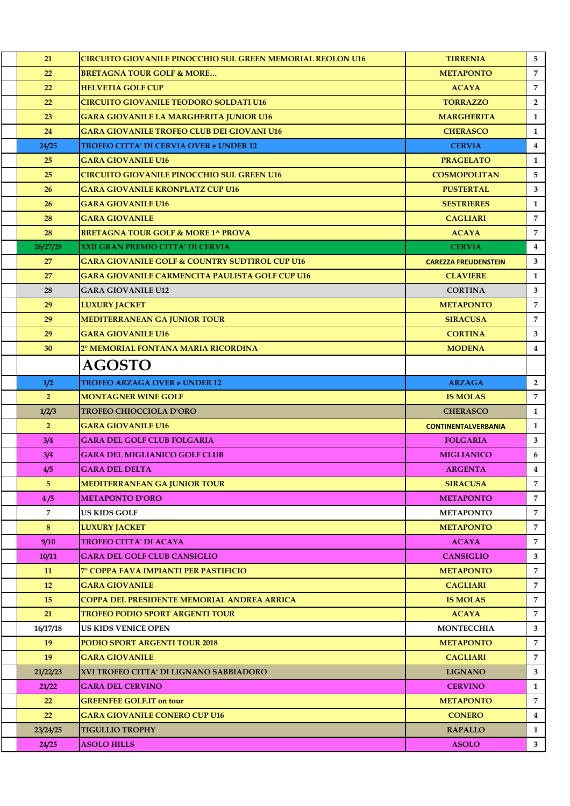| 21             | <b>CIRCUITO GIOVANILE PINOCCHIO SUL GREEN MEMORIAL REOLON U16</b> | <b>TIRRENIA</b>             | 5              |
|----------------|-------------------------------------------------------------------|-----------------------------|----------------|
| 22             | <b>BRETAGNA TOUR GOLF &amp; MORE</b>                              | <b>METAPONTO</b>            | $\overline{7}$ |
| 22             | <b>HELVETIA GOLF CUP</b>                                          | <b>ACAYA</b>                | $\overline{7}$ |
| 22             | CIRCUITO GIOVANILE TEODORO SOLDATI U16                            | <b>TORRAZZO</b>             | $\overline{2}$ |
| 23             | <b>GARA GIOVANILE LA MARGHERITA JUNIOR U16</b>                    | <b>MARGHERITA</b>           | $\mathbf{1}$   |
| 24             | <b>GARA GIOVANILE TROFEO CLUB DEI GIOVANI U16</b>                 | <b>CHERASCO</b>             | $\mathbf{1}$   |
| 24/25          | TROFEO CITTA' DI CERVIA OVER e UNDER 12                           | <b>CERVIA</b>               | $\overline{4}$ |
| 25             | <b>GARA GIOVANILE U16</b>                                         | <b>PRAGELATO</b>            | $\mathbf{1}$   |
| 25             | <b>CIRCUITO GIOVANILE PINOCCHIO SUL GREEN U16</b>                 | <b>COSMOPOLITAN</b>         | 5              |
| 26             | <b>GARA GIOVANILE KRONPLATZ CUP U16</b>                           | <b>PUSTERTAL</b>            | $\mathbf{3}$   |
| 26             | <b>GARA GIOVANILE U16</b>                                         | <b>SESTRIERES</b>           | $\mathbf{1}$   |
| 28             | <b>GARA GIOVANILE</b>                                             | <b>CAGLIARI</b>             | $\overline{7}$ |
| 28             | <b>BRETAGNA TOUR GOLF &amp; MORE 1^ PROVA</b>                     | <b>ACAYA</b>                | $\overline{7}$ |
| 26/27/28       | XXII GRAN PREMIO CITTA' DI CERVIA                                 | <b>CERVIA</b>               | $\overline{4}$ |
| 27             | <b>GARA GIOVANILE GOLF &amp; COUNTRY SUDTIROL CUP U16</b>         | <b>CAREZZA FREUDENSTEIN</b> | $\mathbf{3}$   |
| 27             | GARA GIOVANILE CARMENCITA PAULISTA GOLF CUP U16                   | <b>CLAVIERE</b>             | $\mathbf{1}$   |
| 28             | <b>GARA GIOVANILE U12</b>                                         | <b>CORTINA</b>              | 3              |
| 29             | <b>LUXURY JACKET</b>                                              | <b>METAPONTO</b>            | $\overline{7}$ |
| 29             | <b>MEDITERRANEAN GA JUNIOR TOUR</b>                               | <b>SIRACUSA</b>             | $\overline{7}$ |
| 29             | <b>GARA GIOVANILE U16</b>                                         | <b>CORTINA</b>              | $3^{\circ}$    |
| 30             | 2° MEMORIAL FONTANA MARIA RICORDINA                               | <b>MODENA</b>               | $\overline{4}$ |
|                | AGOSTO                                                            |                             |                |
| 1/2            | <b>TROFEO ARZAGA OVER e UNDER 12</b>                              | <b>ARZAGA</b>               | $\overline{2}$ |
| 2 <sup>1</sup> | <b>MONTAGNER WINE GOLF</b>                                        | <b>IS MOLAS</b>             | $\overline{7}$ |
| 1/2/3          | <b>TROFEO CHIOCCIOLA D'ORO</b>                                    | <b>CHERASCO</b>             | 1              |
| $\overline{2}$ | <b>GARA GIOVANILE U16</b>                                         | <b>CONTINENTALVERBANIA</b>  | $\mathbf{1}$   |
| 3/4            | <b>GARA DEL GOLF CLUB FOLGARIA</b>                                | <b>FOLGARIA</b>             | 3              |
| 3/4            | <b>GARA DEL MIGLIANICO GOLF CLUB</b>                              | <b>MIGLIANICO</b>           | 6              |
| 4/5            | <b>GARA DEL DELTA</b>                                             | <b>ARGENTA</b>              | $\overline{4}$ |
| 5              | MEDITERRANEAN GA JUNIOR TOUR                                      | <b>SIRACUSA</b>             | 7              |
| 4/5            | <b>METAPONTO D'ORO</b>                                            | <b>METAPONTO</b>            | $\overline{7}$ |
| $\overline{7}$ | US KIDS GOLF                                                      | <b>METAPONTO</b>            | $\overline{7}$ |
| 8              | <b>LUXURY JACKET</b>                                              | <b>METAPONTO</b>            | $\overline{7}$ |
| 9/10           | <b>TROFEO CITTA' DI ACAYA</b>                                     | <b>ACAYA</b>                | $\overline{7}$ |
| 10/11          | <b>GARA DEL GOLF CLUB CANSIGLIO</b>                               | <b>CANSIGLIO</b>            | 3              |
| 11             | 7° COPPA FAVA IMPIANTI PER PASTIFICIO                             | <b>METAPONTO</b>            | $\overline{7}$ |
| 12             | <b>GARA GIOVANILE</b>                                             | <b>CAGLIARI</b>             | $\overline{7}$ |
| 15             | COPPA DEL PRESIDENTE MEMORIAL ANDREA ARRICA                       | <b>IS MOLAS</b>             | $\overline{7}$ |
| 21             | TROFEO PODIO SPORT ARGENTI TOUR                                   | <b>ACAYA</b>                | $\overline{7}$ |
| 16/17/18       | US KIDS VENICE OPEN                                               | <b>MONTECCHIA</b>           | 3              |
| 19             | PODIO SPORT ARGENTI TOUR 2018                                     | <b>METAPONTO</b>            | $\overline{7}$ |
| 19             | <b>GARA GIOVANILE</b>                                             | <b>CAGLIARI</b>             | $\overline{7}$ |
| 21/22/23       | XVI TROFEO CITTA' DI LIGNANO SABBIADORO                           | <b>LIGNANO</b>              | 3              |
| 21/22          | <b>GARA DEL CERVINO</b>                                           | <b>CERVINO</b>              | 1              |
| 22             | <b>GREENFEE GOLF.IT on tour</b>                                   | <b>METAPONTO</b>            | $\overline{7}$ |
| 22             | <b>GARA GIOVANILE CONERO CUP U16</b>                              | <b>CONERO</b>               | $\overline{4}$ |
| 23/24/25       | <b>TIGULLIO TROPHY</b>                                            | <b>RAPALLO</b>              | 1              |
| 24/25          | <b>ASOLO HILLS</b>                                                | <b>ASOLO</b>                | 3 <sup>1</sup> |
|                |                                                                   |                             |                |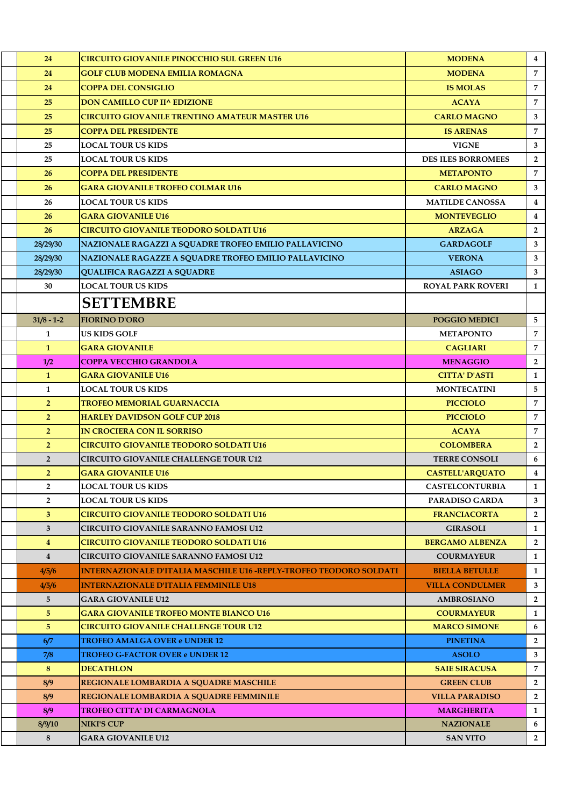| 24             | <b>CIRCUITO GIOVANILE PINOCCHIO SUL GREEN U16</b>                  | <b>MODENA</b>             | $\overline{4}$ |
|----------------|--------------------------------------------------------------------|---------------------------|----------------|
| 24             | <b>GOLF CLUB MODENA EMILIA ROMAGNA</b>                             | <b>MODENA</b>             | $\overline{7}$ |
| 24             | <b>COPPA DEL CONSIGLIO</b>                                         | <b>IS MOLAS</b>           | 7              |
| 25             | <b>DON CAMILLO CUP II^ EDIZIONE</b>                                | <b>ACAYA</b>              | 7              |
| 25             | CIRCUITO GIOVANILE TRENTINO AMATEUR MASTER U16                     | <b>CARLO MAGNO</b>        | 3              |
| 25             | <b>COPPA DEL PRESIDENTE</b>                                        | <b>IS ARENAS</b>          | $\overline{7}$ |
| 25             | LOCAL TOUR US KIDS                                                 | <b>VIGNE</b>              | 3              |
| 25             | <b>LOCAL TOUR US KIDS</b>                                          | <b>DES ILES BORROMEES</b> | $\overline{2}$ |
| 26             | <b>COPPA DEL PRESIDENTE</b>                                        | <b>METAPONTO</b>          | 7              |
| 26             | <b>GARA GIOVANILE TROFEO COLMAR U16</b>                            | <b>CARLO MAGNO</b>        | 3              |
| 26             | <b>LOCAL TOUR US KIDS</b>                                          | <b>MATILDE CANOSSA</b>    | $\bf{4}$       |
| 26             | <b>GARA GIOVANILE U16</b>                                          | <b>MONTEVEGLIO</b>        | $\overline{4}$ |
| 26             | <b>CIRCUITO GIOVANILE TEODORO SOLDATI U16</b>                      | <b>ARZAGA</b>             | $\overline{2}$ |
| 28/29/30       | NAZIONALE RAGAZZI A SQUADRE TROFEO EMILIO PALLAVICINO              | <b>GARDAGOLF</b>          | 3              |
| 28/29/30       | NAZIONALE RAGAZZE A SQUADRE TROFEO EMILIO PALLAVICINO              | <b>VERONA</b>             | 3              |
| 28/29/30       | <b>QUALIFICA RAGAZZI A SQUADRE</b>                                 | <b>ASIAGO</b>             | 3              |
| 30             | <b>LOCAL TOUR US KIDS</b>                                          | <b>ROYAL PARK ROVERI</b>  | $\mathbf{1}$   |
|                | <b>SETTEMBRE</b>                                                   |                           |                |
| $31/8 - 1-2$   | <b>FIORINO D'ORO</b>                                               | <b>POGGIO MEDICI</b>      | 5              |
| $\mathbf{1}$   | US KIDS GOLF                                                       | <b>METAPONTO</b>          | $\overline{7}$ |
| $\mathbf{1}$   | <b>GARA GIOVANILE</b>                                              | <b>CAGLIARI</b>           | $\overline{7}$ |
| 1/2            | <b>COPPA VECCHIO GRANDOLA</b>                                      | <b>MENAGGIO</b>           | $\overline{2}$ |
| $\mathbf{1}$   | <b>GARA GIOVANILE U16</b>                                          | <b>CITTA' D'ASTI</b>      | $\mathbf{1}$   |
| $\mathbf{1}$   | <b>LOCAL TOUR US KIDS</b>                                          | <b>MONTECATINI</b>        | 5              |
| 2 <sup>1</sup> | TROFEO MEMORIAL GUARNACCIA                                         | <b>PICCIOLO</b>           | 7              |
| 2 <sup>1</sup> | <b>HARLEY DAVIDSON GOLF CUP 2018</b>                               | <b>PICCIOLO</b>           | $\overline{7}$ |
| 2 <sup>1</sup> | <b>IN CROCIERA CON IL SORRISO</b>                                  | <b>ACAYA</b>              | 7              |
| 2 <sup>1</sup> | <b>CIRCUITO GIOVANILE TEODORO SOLDATI U16</b>                      | <b>COLOMBERA</b>          | $\overline{2}$ |
| $\overline{2}$ | CIRCUITO GIOVANILE CHALLENGE TOUR U12                              | <b>TERRE CONSOLI</b>      | 6              |
| 2 <sup>1</sup> | <b>GARA GIOVANILE U16</b>                                          | <b>CASTELL'AROUATO</b>    | $\overline{4}$ |
| $\overline{2}$ | <b>LOCAL TOUR US KIDS</b>                                          | <b>CASTELCONTURBIA</b>    | 1              |
| $\overline{2}$ | LOCAL TOUR US KIDS                                                 | <b>PARADISO GARDA</b>     | 3              |
| 3 <sup>2</sup> | <b>CIRCUITO GIOVANILE TEODORO SOLDATI U16</b>                      | <b>FRANCIACORTA</b>       | $\overline{2}$ |
| $\mathbf{3}$   | <b>CIRCUITO GIOVANILE SARANNO FAMOSI U12</b>                       | <b>GIRASOLI</b>           | 1              |
| $\overline{4}$ | CIRCUITO GIOVANILE TEODORO SOLDATI U16                             | <b>BERGAMO ALBENZA</b>    | $\overline{2}$ |
| $\overline{4}$ | CIRCUITO GIOVANILE SARANNO FAMOSI U12                              | <b>COURMAYEUR</b>         | $\mathbf{1}$   |
| 4/5/6          | INTERNAZIONALE D'ITALIA MASCHILE U16 -REPLY-TROFEO TEODORO SOLDATI | <b>BIELLA BETULLE</b>     | $\mathbf{1}$   |
| 4/5/6          | <b>INTERNAZIONALE D'ITALIA FEMMINILE U18</b>                       | <b>VILLA CONDULMER</b>    | 3              |
| 5              | <b>GARA GIOVANILE U12</b>                                          | <b>AMBROSIANO</b>         | $\overline{2}$ |
| 5 <sup>5</sup> | <b>GARA GIOVANILE TROFEO MONTE BIANCO U16</b>                      | <b>COURMAYEUR</b>         | $\mathbf{1}$   |
| 5 <sup>1</sup> | CIRCUITO GIOVANILE CHALLENGE TOUR U12                              | <b>MARCO SIMONE</b>       | 6              |
| 6/7            | <b>TROFEO AMALGA OVER e UNDER 12</b>                               | <b>PINETINA</b>           | $\overline{2}$ |
| 7/8            | <b>TROFEO G-FACTOR OVER e UNDER 12</b>                             | <b>ASOLO</b>              | 3              |
| 8              | <b>DECATHLON</b>                                                   | <b>SAIE SIRACUSA</b>      | 7              |
| 8/9            | REGIONALE LOMBARDIA A SQUADRE MASCHILE                             | <b>GREEN CLUB</b>         | $\overline{2}$ |
| 8/9            | REGIONALE LOMBARDIA A SQUADRE FEMMINILE                            | <b>VILLA PARADISO</b>     | $\overline{2}$ |
| 8/9            | TROFEO CITTA' DI CARMAGNOLA                                        | <b>MARGHERITA</b>         | $\mathbf{1}$   |
| 8/9/10         | <b>NIKI'S CUP</b>                                                  | <b>NAZIONALE</b>          | 6              |
| 8              | <b>GARA GIOVANILE U12</b>                                          | <b>SAN VITO</b>           | $\mathbf{2}$   |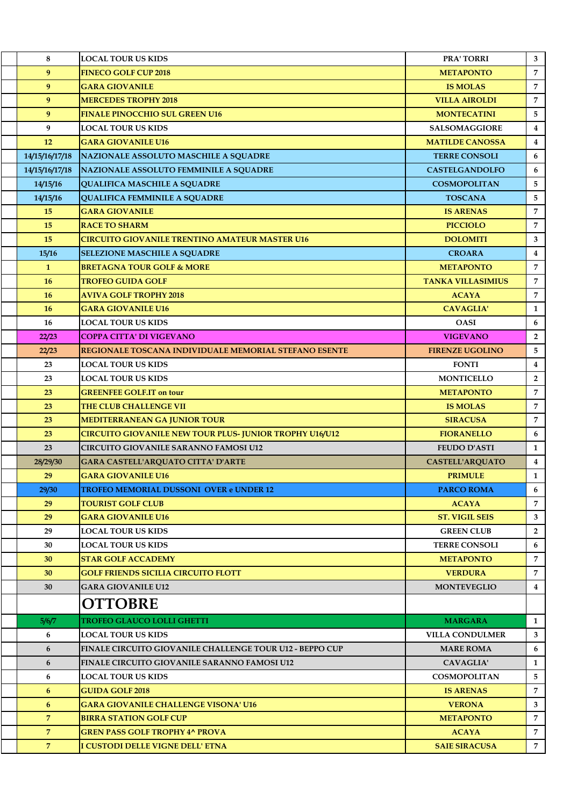| 8              | <b>LOCAL TOUR US KIDS</b>                                       | <b>PRA' TORRI</b>        | 3                       |
|----------------|-----------------------------------------------------------------|--------------------------|-------------------------|
| 9              | <b>FINECO GOLF CUP 2018</b>                                     | <b>METAPONTO</b>         | $\overline{7}$          |
| 9              | <b>GARA GIOVANILE</b>                                           | <b>IS MOLAS</b>          | $\overline{7}$          |
| 9              | <b>MERCEDES TROPHY 2018</b>                                     | <b>VILLA AIROLDI</b>     | 7                       |
| 9              | <b>FINALE PINOCCHIO SUL GREEN U16</b>                           | <b>MONTECATINI</b>       | 5                       |
| 9              | LOCAL TOUR US KIDS                                              | <b>SALSOMAGGIORE</b>     | $\overline{\mathbf{4}}$ |
| 12             | <b>GARA GIOVANILE U16</b>                                       | <b>MATILDE CANOSSA</b>   | $\overline{4}$          |
| 14/15/16/17/18 | NAZIONALE ASSOLUTO MASCHILE A SQUADRE                           | <b>TERRE CONSOLI</b>     | 6                       |
| 14/15/16/17/18 | NAZIONALE ASSOLUTO FEMMINILE A SQUADRE                          | <b>CASTELGANDOLFO</b>    | 6                       |
| 14/15/16       | <b>QUALIFICA MASCHILE A SQUADRE</b>                             | <b>COSMOPOLITAN</b>      | 5                       |
| 14/15/16       | <b>QUALIFICA FEMMINILE A SQUADRE</b>                            | <b>TOSCANA</b>           | 5                       |
| 15             | <b>GARA GIOVANILE</b>                                           | <b>IS ARENAS</b>         | $\overline{7}$          |
| 15             | <b>RACE TO SHARM</b>                                            | <b>PICCIOLO</b>          | 7                       |
| 15             | <b>CIRCUITO GIOVANILE TRENTINO AMATEUR MASTER U16</b>           | <b>DOLOMITI</b>          | 3                       |
| 15/16          | <b>SELEZIONE MASCHILE A SQUADRE</b>                             | <b>CROARA</b>            | $\overline{4}$          |
| $\mathbf{1}$   | <b>BRETAGNA TOUR GOLF &amp; MORE</b>                            | <b>METAPONTO</b>         | $\overline{7}$          |
| 16             | <b>TROFEO GUIDA GOLF</b>                                        | <b>TANKA VILLASIMIUS</b> | $\overline{7}$          |
| 16             | <b>AVIVA GOLF TROPHY 2018</b>                                   | <b>ACAYA</b>             | $\overline{7}$          |
| 16             | <b>GARA GIOVANILE U16</b>                                       | <b>CAVAGLIA'</b>         | $\mathbf{1}$            |
| 16             | <b>LOCAL TOUR US KIDS</b>                                       | <b>OASI</b>              | 6                       |
| 22/23          | <b>COPPA CITTA' DI VIGEVANO</b>                                 | <b>VIGEVANO</b>          | $\overline{2}$          |
| 22/23          | <b>REGIONALE TOSCANA INDIVIDUALE MEMORIAL STEFANO ESENTE</b>    | <b>FIRENZE UGOLINO</b>   | 5                       |
| 23             | <b>LOCAL TOUR US KIDS</b>                                       | <b>FONTI</b>             | $\overline{\mathbf{4}}$ |
| 23             | <b>LOCAL TOUR US KIDS</b>                                       | <b>MONTICELLO</b>        | $\overline{2}$          |
| 23             | <b>GREENFEE GOLF.IT on tour</b>                                 | <b>METAPONTO</b>         | $\overline{7}$          |
| 23             | THE CLUB CHALLENGE VII                                          | <b>IS MOLAS</b>          | $\overline{7}$          |
| 23             | <b>MEDITERRANEAN GA JUNIOR TOUR</b>                             | <b>SIRACUSA</b>          | $\overline{7}$          |
| 23             | CIRCUITO GIOVANILE NEW TOUR PLUS- JUNIOR TROPHY U16/U12         | <b>FIORANELLO</b>        | 6                       |
| 23             | <b>CIRCUITO GIOVANILE SARANNO FAMOSI U12</b>                    | <b>FEUDO D'ASTI</b>      | $\mathbf{1}$            |
| 28/29/30       | <b>GARA CASTELL'ARQUATO CITTA' D'ARTE</b>                       | <b>CASTELL'ARQUATO</b>   | $\overline{4}$          |
| 29             | <b>GARA GIOVANILE U16</b>                                       | <b>PRIMULE</b>           | $\mathbf{1}$            |
| 29/30          | <b>TROFEO MEMORIAL DUSSONI OVER e UNDER 12</b>                  | <b>PARCO ROMA</b>        | 6                       |
| 29             | <b>TOURIST GOLF CLUB</b>                                        | <b>ACAYA</b>             | $\overline{7}$          |
| 29             | <b>GARA GIOVANILE U16</b>                                       | <b>ST. VIGIL SEIS</b>    | 3                       |
| 29             | <b>LOCAL TOUR US KIDS</b>                                       | <b>GREEN CLUB</b>        | $\overline{2}$          |
| 30             | <b>LOCAL TOUR US KIDS</b>                                       | <b>TERRE CONSOLI</b>     | 6                       |
| 30             | <b>STAR GOLF ACCADEMY</b>                                       | <b>METAPONTO</b>         | 7                       |
| 30             | <b>GOLF FRIENDS SICILIA CIRCUITO FLOTT</b>                      | <b>VERDURA</b>           | $\overline{7}$          |
| 30             | <b>GARA GIOVANILE U12</b>                                       | <b>MONTEVEGLIO</b>       | $\overline{4}$          |
|                | <b>OTTOBRE</b>                                                  |                          |                         |
| 5/6/7          | <b>TROFEO GLAUCO LOLLI GHETTI</b>                               | <b>MARGARA</b>           | $\mathbf{1}$            |
| 6              | <b>LOCAL TOUR US KIDS</b>                                       | <b>VILLA CONDULMER</b>   | 3                       |
| 6              | <b>FINALE CIRCUITO GIOVANILE CHALLENGE TOUR U12 - BEPPO CUP</b> | <b>MARE ROMA</b>         | 6                       |
| 6              | FINALE CIRCUITO GIOVANILE SARANNO FAMOSI U12                    | <b>CAVAGLIA'</b>         | $\mathbf{1}$            |
| 6              | <b>LOCAL TOUR US KIDS</b>                                       | <b>COSMOPOLITAN</b>      | 5                       |
| 6              | <b>GUIDA GOLF 2018</b>                                          | <b>IS ARENAS</b>         | $\overline{7}$          |
| 6              | <b>GARA GIOVANILE CHALLENGE VISONA' U16</b>                     | <b>VERONA</b>            | 3                       |
| $\overline{7}$ | <b>BIRRA STATION GOLF CUP</b>                                   | <b>METAPONTO</b>         | $\overline{7}$          |
| $\overline{7}$ | <b>GREN PASS GOLF TROPHY 4^ PROVA</b>                           | <b>ACAYA</b>             | $\overline{7}$          |
| $\overline{7}$ | I CUSTODI DELLE VIGNE DELL' ETNA                                | <b>SAIE SIRACUSA</b>     | $7^{\circ}$             |
|                |                                                                 |                          |                         |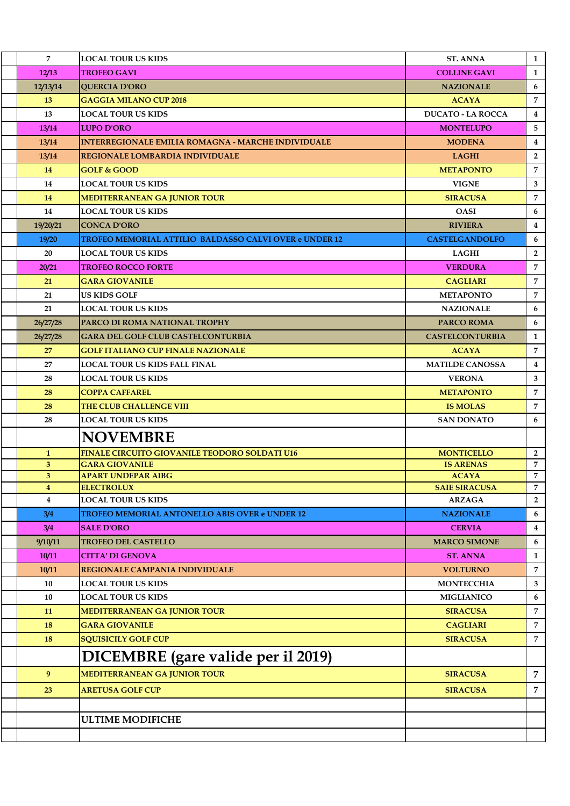| $\overline{7}$                            | <b>LOCAL TOUR US KIDS</b>                                 | <b>ST. ANNA</b>                       | 1                   |
|-------------------------------------------|-----------------------------------------------------------|---------------------------------------|---------------------|
| 12/13                                     | <b>TROFEO GAVI</b>                                        | <b>COLLINE GAVI</b>                   | $\mathbf{1}$        |
| 12/13/14                                  | <b>QUERCIA D'ORO</b>                                      | <b>NAZIONALE</b>                      | 6                   |
| 13                                        | <b>GAGGIA MILANO CUP 2018</b>                             | <b>ACAYA</b>                          | $\overline{7}$      |
| 13                                        | LOCAL TOUR US KIDS                                        | <b>DUCATO - LA ROCCA</b>              | 4                   |
| 13/14                                     | <b>LUPO D'ORO</b>                                         | <b>MONTELUPO</b>                      | 5                   |
| 13/14                                     | <b>INTERREGIONALE EMILIA ROMAGNA - MARCHE INDIVIDUALE</b> | <b>MODENA</b>                         | $\overline{4}$      |
| 13/14                                     | <b>REGIONALE LOMBARDIA INDIVIDUALE</b>                    | <b>LAGHI</b>                          | $\overline{2}$      |
| 14                                        | <b>GOLF &amp; GOOD</b>                                    | <b>METAPONTO</b>                      | $\overline{7}$      |
| 14                                        | <b>LOCAL TOUR US KIDS</b>                                 | <b>VIGNE</b>                          | 3                   |
| 14                                        | <b>MEDITERRANEAN GA JUNIOR TOUR</b>                       | <b>SIRACUSA</b>                       | 7                   |
| 14                                        | <b>LOCAL TOUR US KIDS</b>                                 | <b>OASI</b>                           | 6                   |
| 19/20/21                                  | <b>CONCA D'ORO</b>                                        | <b>RIVIERA</b>                        | $\overline{4}$      |
| 19/20                                     | TROFEO MEMORIAL ATTILIO BALDASSO CALVI OVER e UNDER 12    | <b>CASTELGANDOLFO</b>                 | 6                   |
| 20                                        | <b>LOCAL TOUR US KIDS</b>                                 | <b>LAGHI</b>                          | $\overline{2}$      |
| 20/21                                     | <b>TROFEO ROCCO FORTE</b>                                 | <b>VERDURA</b>                        | 7                   |
| 21                                        | <b>GARA GIOVANILE</b>                                     | <b>CAGLIARI</b>                       | $\overline{7}$      |
| 21                                        | US KIDS GOLF                                              | <b>METAPONTO</b>                      | $\overline{7}$      |
| 21                                        | <b>LOCAL TOUR US KIDS</b>                                 | <b>NAZIONALE</b>                      | 6                   |
| 26/27/28                                  | PARCO DI ROMA NATIONAL TROPHY                             | <b>PARCO ROMA</b>                     | 6                   |
| 26/27/28                                  | <b>GARA DEL GOLF CLUB CASTELCONTURBIA</b>                 | <b>CASTELCONTURBIA</b>                | 1                   |
| 27                                        | <b>GOLF ITALIANO CUP FINALE NAZIONALE</b>                 | <b>ACAYA</b>                          | $\overline{7}$      |
| 27                                        | LOCAL TOUR US KIDS FALL FINAL                             | <b>MATILDE CANOSSA</b>                | $\overline{4}$      |
| 28                                        | <b>LOCAL TOUR US KIDS</b>                                 | <b>VERONA</b>                         | 3                   |
| 28                                        | <b>COPPA CAFFAREL</b>                                     | <b>METAPONTO</b>                      | 7                   |
| 28                                        | THE CLUB CHALLENGE VIII                                   | <b>IS MOLAS</b>                       | 7                   |
| 28                                        | LOCAL TOUR US KIDS                                        | <b>SAN DONATO</b>                     | 6                   |
|                                           | <b>NOVEMBRE</b>                                           |                                       |                     |
| $\mathbf{1}$                              | FINALE CIRCUITO GIOVANILE TEODORO SOLDATI U16             | <b>MONTICELLO</b>                     | $\overline{2}$      |
| 3 <sup>5</sup>                            | <b>GARA GIOVANILE</b>                                     | <b>IS ARENAS</b>                      | 7                   |
| 3                                         | APART UNDEPAR AIBG                                        | <b>ACAYA</b>                          | $\overline{7}$      |
| $\overline{4}$<br>$\overline{\mathbf{4}}$ | <b>ELECTROLUX</b><br><b>LOCAL TOUR US KIDS</b>            | <b>SAIE SIRACUSA</b><br><b>ARZAGA</b> | 7<br>$\overline{2}$ |
| 3/4                                       | <b>TROFEO MEMORIAL ANTONELLO ABIS OVER e UNDER 12</b>     | <b>NAZIONALE</b>                      | 6                   |
| 3/4                                       | <b>SALE D'ORO</b>                                         | <b>CERVIA</b>                         | $\overline{4}$      |
| 9/10/11                                   | <b>TROFEO DEL CASTELLO</b>                                | <b>MARCO SIMONE</b>                   | 6                   |
| 10/11                                     | <b>CITTA' DI GENOVA</b>                                   | <b>ST. ANNA</b>                       | $\mathbf{1}$        |
| 10/11                                     | REGIONALE CAMPANIA INDIVIDUALE                            | <b>VOLTURNO</b>                       | 7                   |
| 10                                        | <b>LOCAL TOUR US KIDS</b>                                 | <b>MONTECCHIA</b>                     | 3                   |
| 10                                        | <b>LOCAL TOUR US KIDS</b>                                 | <b>MIGLIANICO</b>                     | 6                   |
| 11                                        | <b>MEDITERRANEAN GA JUNIOR TOUR</b>                       | <b>SIRACUSA</b>                       | 7                   |
| <b>18</b>                                 | <b>GARA GIOVANILE</b>                                     | <b>CAGLIARI</b>                       | 7                   |
| <b>18</b>                                 | <b>SQUISICILY GOLF CUP</b>                                | <b>SIRACUSA</b>                       | $\overline{7}$      |
|                                           |                                                           |                                       |                     |
|                                           | DICEMBRE (gare valide per il 2019)                        |                                       |                     |
| 9                                         | <b>MEDITERRANEAN GA JUNIOR TOUR</b>                       | <b>SIRACUSA</b>                       | $\overline{7}$      |
| 23                                        | <b>ARETUSA GOLF CUP</b>                                   | <b>SIRACUSA</b>                       | 7                   |
|                                           |                                                           |                                       |                     |
|                                           | <b>ULTIME MODIFICHE</b>                                   |                                       |                     |
|                                           |                                                           |                                       |                     |
|                                           |                                                           |                                       |                     |